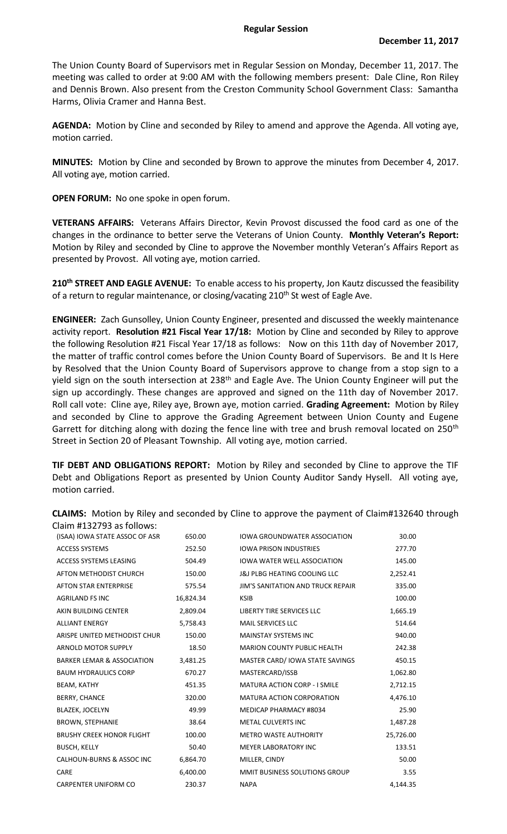The Union County Board of Supervisors met in Regular Session on Monday, December 11, 2017. The meeting was called to order at 9:00 AM with the following members present: Dale Cline, Ron Riley and Dennis Brown. Also present from the Creston Community School Government Class: Samantha Harms, Olivia Cramer and Hanna Best.

**AGENDA:** Motion by Cline and seconded by Riley to amend and approve the Agenda. All voting aye, motion carried.

**MINUTES:** Motion by Cline and seconded by Brown to approve the minutes from December 4, 2017. All voting aye, motion carried.

**OPEN FORUM:** No one spoke in open forum.

**VETERANS AFFAIRS:** Veterans Affairs Director, Kevin Provost discussed the food card as one of the changes in the ordinance to better serve the Veterans of Union County. **Monthly Veteran's Report:**  Motion by Riley and seconded by Cline to approve the November monthly Veteran's Affairs Report as presented by Provost. All voting aye, motion carried.

**210th STREET AND EAGLE AVENUE:** To enable access to his property, Jon Kautz discussed the feasibility of a return to regular maintenance, or closing/vacating 210<sup>th</sup> St west of Eagle Ave.

**ENGINEER:** Zach Gunsolley, Union County Engineer, presented and discussed the weekly maintenance activity report. **Resolution #21 Fiscal Year 17/18:** Motion by Cline and seconded by Riley to approve the following Resolution #21 Fiscal Year 17/18 as follows: Now on this 11th day of November 2017, the matter of traffic control comes before the Union County Board of Supervisors. Be and It Is Here by Resolved that the Union County Board of Supervisors approve to change from a stop sign to a yield sign on the south intersection at 238<sup>th</sup> and Eagle Ave. The Union County Engineer will put the sign up accordingly. These changes are approved and signed on the 11th day of November 2017. Roll call vote: Cline aye, Riley aye, Brown aye, motion carried. **Grading Agreement:** Motion by Riley and seconded by Cline to approve the Grading Agreement between Union County and Eugene Garrett for ditching along with dozing the fence line with tree and brush removal located on 250<sup>th</sup> Street in Section 20 of Pleasant Township. All voting aye, motion carried.

**TIF DEBT AND OBLIGATIONS REPORT:** Motion by Riley and seconded by Cline to approve the TIF Debt and Obligations Report as presented by Union County Auditor Sandy Hysell. All voting aye, motion carried.

| (ISAA) IOWA STATE ASSOC OF ASR        | 650.00    | <b>IOWA GROUNDWATER ASSOCIATION</b>      | 30.00     |
|---------------------------------------|-----------|------------------------------------------|-----------|
| <b>ACCESS SYSTEMS</b>                 | 252.50    | <b>IOWA PRISON INDUSTRIES</b>            | 277.70    |
| ACCESS SYSTEMS LEASING                | 504.49    | <b>IOWA WATER WELL ASSOCIATION</b>       | 145.00    |
| AFTON METHODIST CHURCH                | 150.00    | <b>J&amp;J PLBG HEATING COOLING LLC</b>  | 2,252.41  |
| <b>AFTON STAR ENTERPRISE</b>          | 575.54    | <b>JIM'S SANITATION AND TRUCK REPAIR</b> | 335.00    |
| <b>AGRILAND FS INC</b>                | 16,824.34 | <b>KSIB</b>                              | 100.00    |
| AKIN BUILDING CENTER                  | 2,809.04  | LIBERTY TIRE SERVICES LLC                | 1,665.19  |
| <b>ALLIANT ENERGY</b>                 | 5,758.43  | MAIL SERVICES LLC                        | 514.64    |
| ARISPE UNITED METHODIST CHUR          | 150.00    | <b>MAINSTAY SYSTEMS INC</b>              | 940.00    |
| <b>ARNOLD MOTOR SUPPLY</b>            | 18.50     | <b>MARION COUNTY PUBLIC HEALTH</b>       | 242.38    |
| <b>BARKER LEMAR &amp; ASSOCIATION</b> | 3,481.25  | MASTER CARD/IOWA STATE SAVINGS           | 450.15    |
| <b>BAUM HYDRAULICS CORP</b>           | 670.27    | MASTERCARD/ISSB                          | 1,062.80  |
| <b>BEAM, KATHY</b>                    | 451.35    | <b>MATURA ACTION CORP - I SMILE</b>      | 2,712.15  |
| <b>BERRY, CHANCE</b>                  | 320.00    | MATURA ACTION CORPORATION                | 4,476.10  |
| <b>BLAZEK, JOCELYN</b>                | 49.99     | MEDICAP PHARMACY #8034                   | 25.90     |
| <b>BROWN, STEPHANIE</b>               | 38.64     | <b>METAL CULVERTS INC</b>                | 1,487.28  |
| <b>BRUSHY CREEK HONOR FLIGHT</b>      | 100.00    | <b>METRO WASTE AUTHORITY</b>             | 25,726.00 |
| <b>BUSCH, KELLY</b>                   | 50.40     | <b>MEYER LABORATORY INC</b>              | 133.51    |
| <b>CALHOUN-BURNS &amp; ASSOC INC</b>  | 6,864.70  | MILLER, CINDY                            | 50.00     |
| CARE                                  | 6,400.00  | MMIT BUSINESS SOLUTIONS GROUP            | 3.55      |
| <b>CARPENTER UNIFORM CO</b>           | 230.37    | <b>NAPA</b>                              | 4,144.35  |

**CLAIMS:** Motion by Riley and seconded by Cline to approve the payment of Claim#132640 through Claim #132793 as follows: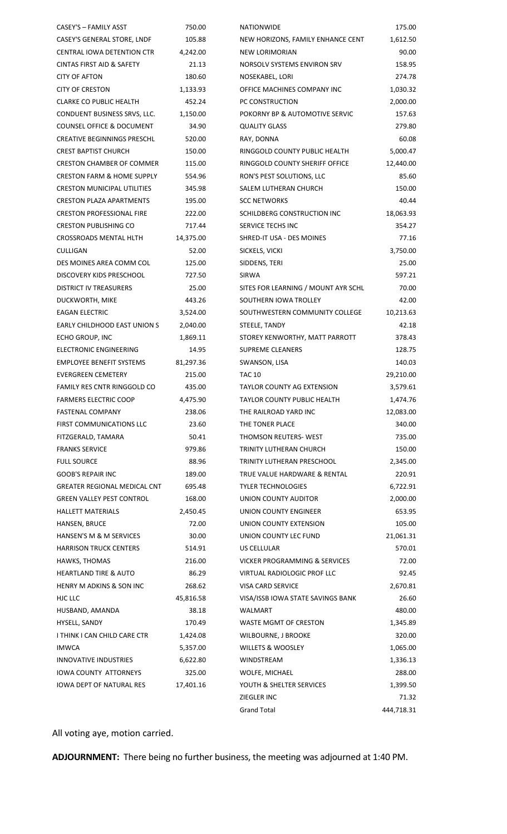| CASEY'S - FAMILY ASST                 | 750.00    | NATIONWIDE                          | 175.00     |
|---------------------------------------|-----------|-------------------------------------|------------|
| CASEY'S GENERAL STORE, LNDF           | 105.88    | NEW HORIZONS, FAMILY ENHANCE CENT   | 1,612.50   |
| CENTRAL IOWA DETENTION CTR            | 4,242.00  | NEW LORIMORIAN                      | 90.00      |
| <b>CINTAS FIRST AID &amp; SAFETY</b>  | 21.13     | NORSOLV SYSTEMS ENVIRON SRV         | 158.95     |
| <b>CITY OF AFTON</b>                  | 180.60    | NOSEKABEL, LORI                     | 274.78     |
| <b>CITY OF CRESTON</b>                | 1,133.93  | OFFICE MACHINES COMPANY INC         | 1,030.32   |
| <b>CLARKE CO PUBLIC HEALTH</b>        | 452.24    | PC CONSTRUCTION                     | 2,000.00   |
| CONDUENT BUSINESS SRVS, LLC.          | 1,150.00  | POKORNY BP & AUTOMOTIVE SERVIC      | 157.63     |
| COUNSEL OFFICE & DOCUMENT             | 34.90     | <b>QUALITY GLASS</b>                | 279.80     |
| <b>CREATIVE BEGINNINGS PRESCHL</b>    | 520.00    | RAY, DONNA                          | 60.08      |
| <b>CREST BAPTIST CHURCH</b>           | 150.00    | RINGGOLD COUNTY PUBLIC HEALTH       | 5,000.47   |
| <b>CRESTON CHAMBER OF COMMER</b>      | 115.00    | RINGGOLD COUNTY SHERIFF OFFICE      | 12,440.00  |
| <b>CRESTON FARM &amp; HOME SUPPLY</b> | 554.96    | RON'S PEST SOLUTIONS, LLC           | 85.60      |
| <b>CRESTON MUNICIPAL UTILITIES</b>    | 345.98    | SALEM LUTHERAN CHURCH               | 150.00     |
| <b>CRESTON PLAZA APARTMENTS</b>       | 195.00    | <b>SCC NETWORKS</b>                 | 40.44      |
| <b>CRESTON PROFESSIONAL FIRE</b>      | 222.00    | SCHILDBERG CONSTRUCTION INC         | 18,063.93  |
| <b>CRESTON PUBLISHING CO</b>          | 717.44    | SERVICE TECHS INC                   | 354.27     |
| CROSSROADS MENTAL HLTH                | 14,375.00 | SHRED-IT USA - DES MOINES           | 77.16      |
| <b>CULLIGAN</b>                       | 52.00     | SICKELS, VICKI                      | 3,750.00   |
| DES MOINES AREA COMM COL              | 125.00    | SIDDENS, TERI                       | 25.00      |
| DISCOVERY KIDS PRESCHOOL              | 727.50    | SIRWA                               | 597.21     |
| DISTRICT IV TREASURERS                | 25.00     | SITES FOR LEARNING / MOUNT AYR SCHL | 70.00      |
| DUCKWORTH, MIKE                       | 443.26    | SOUTHERN IOWA TROLLEY               | 42.00      |
| <b>EAGAN ELECTRIC</b>                 | 3,524.00  | SOUTHWESTERN COMMUNITY COLLEGE      | 10,213.63  |
| EARLY CHILDHOOD EAST UNION S          | 2,040.00  | STEELE, TANDY                       | 42.18      |
| ECHO GROUP, INC                       | 1,869.11  | STOREY KENWORTHY, MATT PARROTT      | 378.43     |
| ELECTRONIC ENGINEERING                | 14.95     | <b>SUPREME CLEANERS</b>             | 128.75     |
| <b>EMPLOYEE BENEFIT SYSTEMS</b>       | 81,297.36 | SWANSON, LISA                       | 140.03     |
| <b>EVERGREEN CEMETERY</b>             | 215.00    | <b>TAC 10</b>                       | 29,210.00  |
| <b>FAMILY RES CNTR RINGGOLD CO</b>    | 435.00    | <b>TAYLOR COUNTY AG EXTENSION</b>   | 3,579.61   |
| <b>FARMERS ELECTRIC COOP</b>          | 4,475.90  | TAYLOR COUNTY PUBLIC HEALTH         | 1,474.76   |
| <b>FASTENAL COMPANY</b>               | 238.06    | THE RAILROAD YARD INC               | 12,083.00  |
| FIRST COMMUNICATIONS LLC              | 23.60     | THE TONER PLACE                     | 340.00     |
|                                       | 50.41     | THOMSON REUTERS-WEST                | 735.00     |
| FITZGERALD, TAMARA                    |           | TRINITY LUTHERAN CHURCH             |            |
| <b>FRANKS SERVICE</b>                 | 979.86    |                                     | 150.00     |
| <b>FULL SOURCE</b>                    | 88.96     | TRINITY LUTHERAN PRESCHOOL          | 2,345.00   |
| <b>GOOB'S REPAIR INC</b>              | 189.00    | TRUE VALUE HARDWARE & RENTAL        | 220.91     |
| GREATER REGIONAL MEDICAL CNT          | 695.48    | <b>TYLER TECHNOLOGIES</b>           | 6,722.91   |
| <b>GREEN VALLEY PEST CONTROL</b>      | 168.00    | UNION COUNTY AUDITOR                | 2,000.00   |
| <b>HALLETT MATERIALS</b>              | 2,450.45  | UNION COUNTY ENGINEER               | 653.95     |
| HANSEN, BRUCE                         | 72.00     | UNION COUNTY EXTENSION              | 105.00     |
| HANSEN'S M & M SERVICES               | 30.00     | UNION COUNTY LEC FUND               | 21,061.31  |
| <b>HARRISON TRUCK CENTERS</b>         | 514.91    | US CELLULAR                         | 570.01     |
| HAWKS, THOMAS                         | 216.00    | VICKER PROGRAMMING & SERVICES       | 72.00      |
| <b>HEARTLAND TIRE &amp; AUTO</b>      | 86.29     | VIRTUAL RADIOLOGIC PROF LLC         | 92.45      |
| HENRY M ADKINS & SON INC              | 268.62    | VISA CARD SERVICE                   | 2,670.81   |
| HJC LLC                               | 45,816.58 | VISA/ISSB IOWA STATE SAVINGS BANK   | 26.60      |
| HUSBAND, AMANDA                       | 38.18     | WALMART                             | 480.00     |
| HYSELL, SANDY                         | 170.49    | WASTE MGMT OF CRESTON               | 1,345.89   |
| I THINK I CAN CHILD CARE CTR          | 1,424.08  | WILBOURNE, J BROOKE                 | 320.00     |
| <b>IMWCA</b>                          | 5,357.00  | WILLETS & WOOSLEY                   | 1,065.00   |
| <b>INNOVATIVE INDUSTRIES</b>          | 6,622.80  | WINDSTREAM                          | 1,336.13   |
| IOWA COUNTY ATTORNEYS                 | 325.00    | WOLFE, MICHAEL                      | 288.00     |
| <b>IOWA DEPT OF NATURAL RES</b>       | 17,401.16 | YOUTH & SHELTER SERVICES            | 1,399.50   |
|                                       |           | ZIEGLER INC                         | 71.32      |
|                                       |           | <b>Grand Total</b>                  | 444,718.31 |

All voting aye, motion carried.

**ADJOURNMENT:** There being no further business, the meeting was adjourned at 1:40 PM.